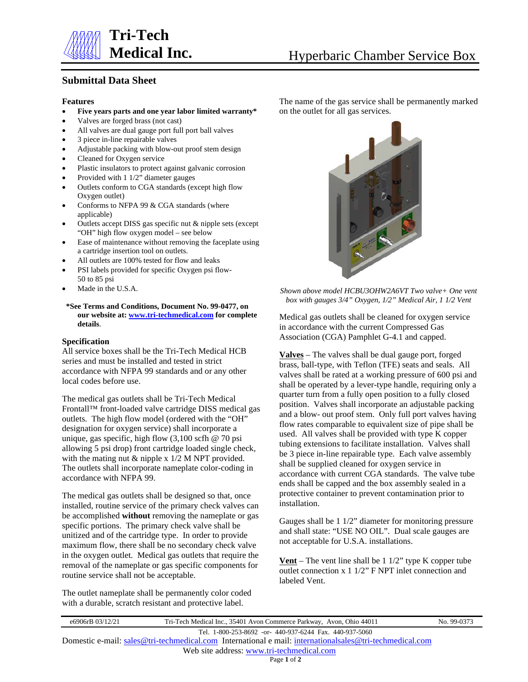

## **Submittal Data Sheet**

## **Features**

- **Five years parts and one year labor limited warranty\***
- Valves are forged brass (not cast)
- All valves are dual gauge port full port ball valves
- 3 piece in-line repairable valves
- Adjustable packing with blow-out proof stem design
- Cleaned for Oxygen service
- Plastic insulators to protect against galvanic corrosion
- Provided with 1 1/2" diameter gauges
- Outlets conform to CGA standards (except high flow Oxygen outlet)
- Conforms to NFPA 99 & CGA standards (where applicable)
- Outlets accept DISS gas specific nut & nipple sets (except "OH" high flow oxygen model – see below
- Ease of maintenance without removing the faceplate using a cartridge insertion tool on outlets.
- All outlets are 100% tested for flow and leaks
- PSI labels provided for specific Oxygen psi flow-50 to 85 psi
- Made in the U.S.A.

**\*See Terms and Conditions, Document No. 99-0477, on our website at[: www.tri-techmedical.com](http://www.tri-techmedical.com/) for complete details**.

## **Specification**

All service boxes shall be the Tri-Tech Medical HCB series and must be installed and tested in strict accordance with NFPA 99 standards and or any other local codes before use.

The medical gas outlets shall be Tri-Tech Medical Frontall™ front-loaded valve cartridge DISS medical gas outlets. The high flow model (ordered with the "OH" designation for oxygen service) shall incorporate a unique, gas specific, high flow  $(3,100 \text{ scfh} \& 70 \text{ psi})$ allowing 5 psi drop) front cartridge loaded single check, with the mating nut & nipple x  $1/2$  M NPT provided. The outlets shall incorporate nameplate color-coding in accordance with NFPA 99.

The medical gas outlets shall be designed so that, once installed, routine service of the primary check valves can be accomplished **without** removing the nameplate or gas specific portions. The primary check valve shall be unitized and of the cartridge type. In order to provide maximum flow, there shall be no secondary check valve in the oxygen outlet. Medical gas outlets that require the removal of the nameplate or gas specific components for routine service shall not be acceptable.

The outlet nameplate shall be permanently color coded with a durable, scratch resistant and protective label.

The name of the gas service shall be permanently marked on the outlet for all gas services.



*Shown above model HCBU3OHW2A6VT Two valve+ One vent box with gauges 3/4" Oxygen, 1/2" Medical Air, 1 1/2 Vent*

Medical gas outlets shall be cleaned for oxygen service in accordance with the current Compressed Gas Association (CGA) Pamphlet G-4.1 and capped.

**Valves** – The valves shall be dual gauge port, forged brass, ball-type, with Teflon (TFE) seats and seals. All valves shall be rated at a working pressure of 600 psi and shall be operated by a lever-type handle, requiring only a quarter turn from a fully open position to a fully closed position. Valves shall incorporate an adjustable packing and a blow- out proof stem. Only full port valves having flow rates comparable to equivalent size of pipe shall be used. All valves shall be provided with type K copper tubing extensions to facilitate installation. Valves shall be 3 piece in-line repairable type. Each valve assembly shall be supplied cleaned for oxygen service in accordance with current CGA standards. The valve tube ends shall be capped and the box assembly sealed in a protective container to prevent contamination prior to installation.

Gauges shall be 1 1/2" diameter for monitoring pressure and shall state: "USE NO OIL". Dual scale gauges are not acceptable for U.S.A. installations.

**Vent** – The vent line shall be 1 1/2" type K copper tube outlet connection x 1 1/2" F NPT inlet connection and labeled Vent.

| e6906rB 03/12/21                          | Tri-Tech Medical Inc., 35401 Avon Commerce Parkway, Avon, Ohio 44011                                      | No. 99-0373 |  |  |
|-------------------------------------------|-----------------------------------------------------------------------------------------------------------|-------------|--|--|
|                                           | Tel. 1-800-253-8692 -or- 440-937-6244 Fax. 440-937-5060                                                   |             |  |  |
|                                           | Domestic e-mail: sales @tri-techmedical.com International e mail: internationalsales @tri-techmedical.com |             |  |  |
| Web site address: www.tri-techmedical.com |                                                                                                           |             |  |  |